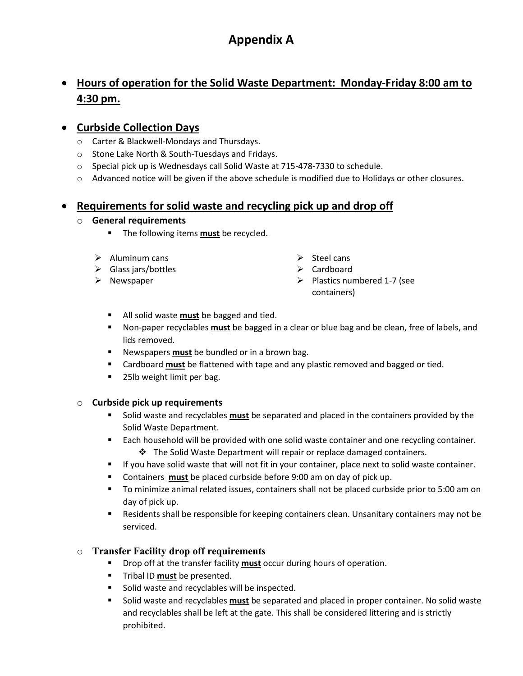# **Appendix A**

# • **Hours of operation for the Solid Waste Department: Monday-Friday 8:00 am to 4:30 pm.**

### • **Curbside Collection Days**

- o Carter & Blackwell-Mondays and Thursdays.
- o Stone Lake North & South-Tuesdays and Fridays.
- o Special pick up is Wednesdays call Solid Waste at 715-478-7330 to schedule.
- o Advanced notice will be given if the above schedule is modified due to Holidays or other closures.

### • **Requirements for solid waste and recycling pick up and drop off**

#### o **General requirements**

- **The following items must be recycled.**
- $\triangleright$  Aluminum cans  $\triangleright$  Steel cans
- Glass jars/bottles Cardboard
- 
- 
- 
- ▶ Newspaper Plastics numbered 1-7 (see containers)
	- All solid waste **must** be bagged and tied.
	- Non-paper recyclables **must** be bagged in a clear or blue bag and be clean, free of labels, and lids removed.
	- Newspapers **must** be bundled or in a brown bag.
	- Cardboard **must** be flattened with tape and any plastic removed and bagged or tied.
	- 25lb weight limit per bag.

#### o **Curbside pick up requirements**

- Solid waste and recyclables **must** be separated and placed in the containers provided by the Solid Waste Department.
- **Each household will be provided with one solid waste container and one recycling container.**  $\cdot$  The Solid Waste Department will repair or replace damaged containers.
- **If you have solid waste that will not fit in your container, place next to solid waste container.**
- Containers **must** be placed curbside before 9:00 am on day of pick up.
- To minimize animal related issues, containers shall not be placed curbside prior to 5:00 am on day of pick up.
- **Residents shall be responsible for keeping containers clean. Unsanitary containers may not be** serviced.

### o **Transfer Facility drop off requirements**

- Drop off at the transfer facility **must** occur during hours of operation.
- **Tribal ID must be presented.**
- **Solid waste and recyclables will be inspected.**
- Solid waste and recyclables **must** be separated and placed in proper container. No solid waste and recyclables shall be left at the gate. This shall be considered littering and is strictly prohibited.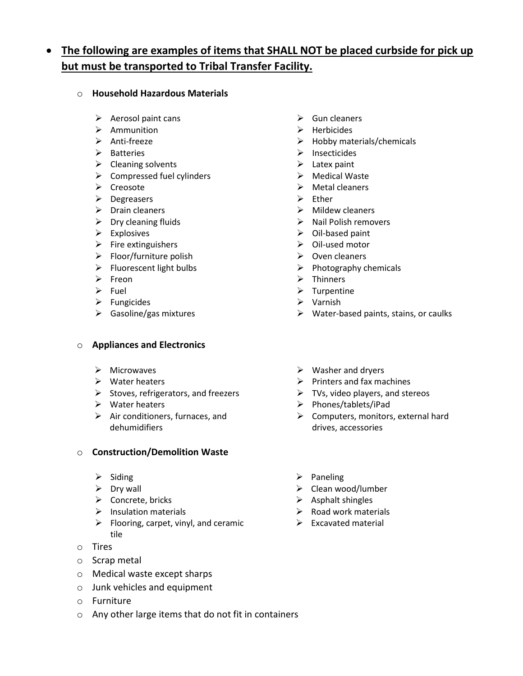# • **The following are examples of items that SHALL NOT be placed curbside for pick up but must be transported to Tribal Transfer Facility.**

#### o **Household Hazardous Materials**

- $\triangleright$  Aerosol paint cans  $\triangleright$  Gun cleaners
- **EXECUTE:** Ammunition → Ammunition
- 
- 
- ▶ Cleaning solvents **Latex paint**
- $\triangleright$  Compressed fuel cylinders  $\triangleright$  Medical Waste
- 
- $\triangleright$  Degreasers  $\triangleright$  Ether
- 
- 
- 
- ▶ Fire extinguishers **Diamond A** Oil-used motor
- ▶ Floor/furniture polish  $\rho$  Oven cleaners
- 
- 
- 
- Fungicides Varnish
- 

#### o **Appliances and Electronics**

- 
- 
- Stoves, refrigerators, and freezers  $\triangleright$  TVs, video players, and stereos
- 
- $\triangleright$  Air conditioners, furnaces, and dehumidifiers

#### o **Construction/Demolition Waste**

- 
- 
- Concrete, bricks Asphalt shingles
- 
- $\triangleright$  Flooring, carpet, vinyl, and ceramic tile
- o Tires
- o Scrap metal
- o Medical waste except sharps
- o Junk vehicles and equipment
- o Furniture
- o Any other large items that do not fit in containers
- 
- 
- → Anti-freeze and the materials/chemicals
- Batteries Insecticides
	-
	-
- → Creosote → Creosote → Metal cleaners
	-
- Drain cleaners Mildew cleaners
- Dry cleaning fluids Nail Polish removers
- Explosives Oil-based paint
	-
	-
- Fluorescent light bulbs Photography chemicals
- **►** Freon **Exercise Exercise Exercise Exercise Exercise Exercise Exercise Exercise Exercise Exercise Exercise Exercise Exercise Exercise Exercise Exercise Exercise Exercise Exercise Exercise Exercise Exercise Exercise Exe**
- $\triangleright$  Fuel  $\triangleright$  Turpentine
	-
- ▶ Gasoline/gas mixtures  $\triangleright$  Water-based paints, stains, or caulks
- ▶ Microwaves Number 2012 A Washer and dryers
- $\triangleright$  Water heaters  $\triangleright$  Printers and fax machines
	-
- → Water heaters **Phones/tablets/iPad** 
	- $\triangleright$  Computers, monitors, external hard drives, accessories
- $\triangleright$  Siding  $\triangleright$  Paneling
- → Dry wall  $\rightarrow$  Clean wood/lumber
	-
- $\triangleright$  Insulation materials  $\triangleright$  Road work materials
	- $\triangleright$  Excavated material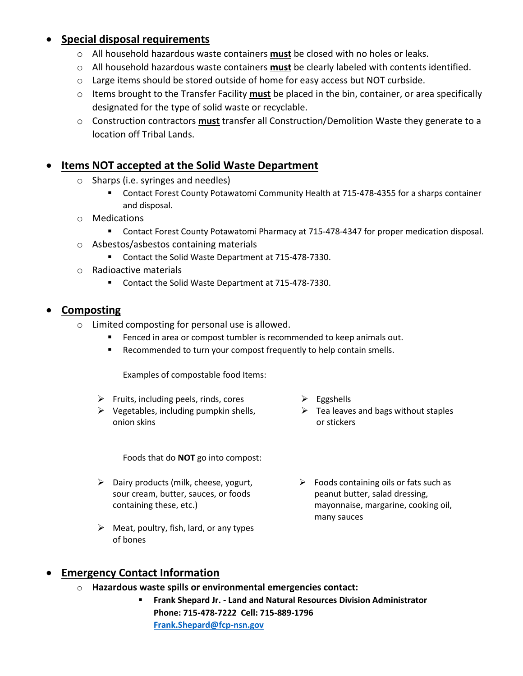## • **Special disposal requirements**

- o All household hazardous waste containers **must** be closed with no holes or leaks.
- o All household hazardous waste containers **must** be clearly labeled with contents identified.
- $\circ$  Large items should be stored outside of home for easy access but NOT curbside.
- o Items brought to the Transfer Facility **must** be placed in the bin, container, or area specifically designated for the type of solid waste or recyclable.
- o Construction contractors **must** transfer all Construction/Demolition Waste they generate to a location off Tribal Lands.

## **Items NOT accepted at the Solid Waste Department**

- o Sharps (i.e. syringes and needles)
	- Contact Forest County Potawatomi Community Health at 715-478-4355 for a sharps container and disposal.
- o Medications
	- **Contact Forest County Potawatomi Pharmacy at 715-478-4347 for proper medication disposal.**
- o Asbestos/asbestos containing materials
	- **Contact the Solid Waste Department at 715-478-7330.**
- o Radioactive materials
	- Contact the Solid Waste Department at 715-478-7330.

## • **Composting**

- o Limited composting for personal use is allowed.
	- Fenced in area or compost tumbler is recommended to keep animals out.
	- **Recommended to turn your compost frequently to help contain smells.**

Examples of compostable food Items:

- Fruits, including peels, rinds, cores  $\triangleright$  Eggshells
- $\triangleright$  Vegetables, including pumpkin shells, onion skins

Foods that do **NOT** go into compost:

- $\triangleright$  Dairy products (milk, cheese, yogurt, sour cream, butter, sauces, or foods containing these, etc.)
- $\triangleright$  Meat, poultry, fish, lard, or any types of bones
- 
- $\triangleright$  Tea leaves and bags without staples or stickers
- $\triangleright$  Foods containing oils or fats such as peanut butter, salad dressing, mayonnaise, margarine, cooking oil, many sauces

## • **Emergency Contact Information**

- o **Hazardous waste spills or environmental emergencies contact:**
	- **Frank Shepard Jr. Land and Natural Resources Division Administrator Phone: 715-478-7222 Cell: 715-889-1796 [Frank.Shepard@fcp-nsn.gov](mailto:Frank.Shepard@fcp-nsn.gov)**